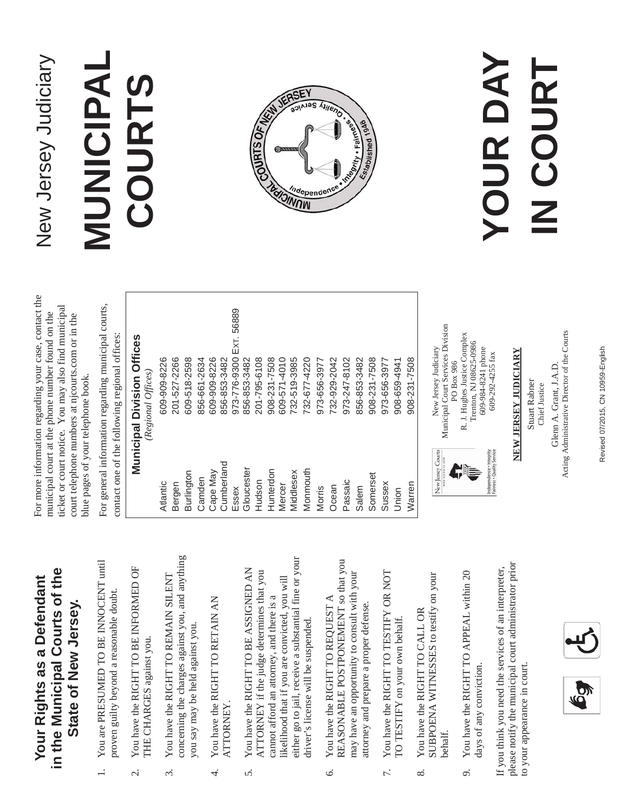### **in the Municipal Courts of the**  in the Municipal Courts of the **Your Rights as a Defendant**  Your Rights as a Defendant **State of New Jersey.** State of New Jersey.

- 1. You are PRESUMED TO BE INNOCENT until You are PRESUMED TO BE INNOCENT until proven guilty beyond a reasonable doubt. proven guilty beyond a reasonable doubt.  $\overline{a}$
- You have the RIGHT TO BE INFORMED OF 2. You have the RIGHT TO BE INFORMED OF THE CHARGES against you. THE CHARGES against you. ς.
- concerning the charges against you, and anything concerning the charges against you, and anything 3. You have the RIGHT TO REMAIN SILENT You have the RIGHT TO REMAIN SILENT you say may be held against you. you say may be held against you.  $\dot{\epsilon}$
- 4. You have the RIGHT TO RETAIN AN You have the RIGHT TO RETAIN AN ATTORNEY. ATTORNEY. 4.
- either go to jail, receive a substantial fine or your either go to jail, receive a substantial fine or your 5. You have the RIGHT TO BE ASSIGNED AN You have the RIGHT TO BE ASSIGNED AN ATTORNEY if the judge determines that you ATTORNEY if the judge determines that you likelihood that if you are convicted, you will ikelihood that if you are convicted, you will cannot afford an attorney, and there is a cannot afford an attorney, and there is a driver's license will be suspended. driver's license will be suspended. S.
- REASONABLE POSTPONEMENT so that you REASONABLE POSTPONEMENT so that you may have an opportunity to consult with your may have an opportunity to consult with your 6. You have the RIGHT TO REQUEST A You have the RIGHT TO REQUEST A attorney and prepare a proper defense. attorney and prepare a proper defense.  $\acute{\circ}$
- 7. You have the RIGHT TO TESTIFY OR NOT You have the RIGHT TO TESTIFY OR NOT TO TESTIFY on your own behalf. TO TESTIFY on your own behalf. 7.
- SUBPOENA WITNESSES to testify on your SUBPOENA WITNESSES to testify on your 8. You have the RIGHT TO CALL OR You have the RIGHT TO CALL OR behalf.  $\infty$
- 9. You have the RIGHT TO APPEAL within 20 You have the RIGHT TO APPEAL within 20 days of any conviction. days of any conviction. o.

please notify the municipal court administrator prior please notify the municipal court administrator prior If you think you need the services of an interpreter, If you think you need the services of an interpreter, to your appearance in court. to your appearance in court.



For more information regarding your case, contact the For more information regarding your case, contact the ticket or court notice. You may also find municipal icket or court notice. You may also find municipal municipal court at the phone number found on the municipal court at the phone number found on the court telephone numbers at njcourts.com or in the court telephone numbers at njcourts.com or in the blue pages of your telephone book. blue pages of your telephone book.

For general information regarding municipal courts, For general information regarding municipal courts, contact one of the following regional offices: contact one of the following regional offices:

|               | <b>Municipal Division Offices</b> |
|---------------|-----------------------------------|
|               | (Regional Offices)                |
| Atlantic      | 609-909-8226                      |
| Bergen        | 201-527-2266                      |
| Burlington    | 609-518-2598                      |
| Camden        | 856-661-2634                      |
| Cape May      | 609-909-8226                      |
| Cumberland    | 856-853-3482                      |
| Essex         | 973-776-9300 Ext. 56889           |
| Gloucester    | 856-853-3482                      |
| Hudson        | 201-795-6108                      |
| Hunterdon     | 908-231-7508                      |
| <b>Mercer</b> | 609-571-4010                      |
| Middlesex     | 732-519-3985                      |
| Monmouth      | 732-677-4220                      |
| Morris        | 973-656-3977                      |
| Ocean         | 732-929-2042                      |
| Passaic       | 973-247-8102                      |
| Salem         | 856-853-3482                      |
| Somerset      | 908-231-7508                      |
| Sussex        | 973-656-3977                      |
| Union         | 908-659-4941                      |
| Warren        | 908-231-7508                      |



Trenton, NJ 08625-0986 Trenton, NJ 08625-0986 609-984-8241 phone 609-984-8241 phone 609-292-4255 fax 609-292-4255 fax



Municipal Court Services Division New Jersey Judiciary





New Jersey Judiciary







# **NEW JERSEY JUDICIARY**  NEW JERSEY JUDICIARY



Revised 07/2015, CN 10959-English Revised 07/2015, CN 10959-English

New Jersey Judiciary New Jersey Judiciary

## **MUNICIPAL**  MUNICIPAL **COURTS**  COURTS



### **YOUR DAY**  YOUR DAY **IN COURT** IN COURT